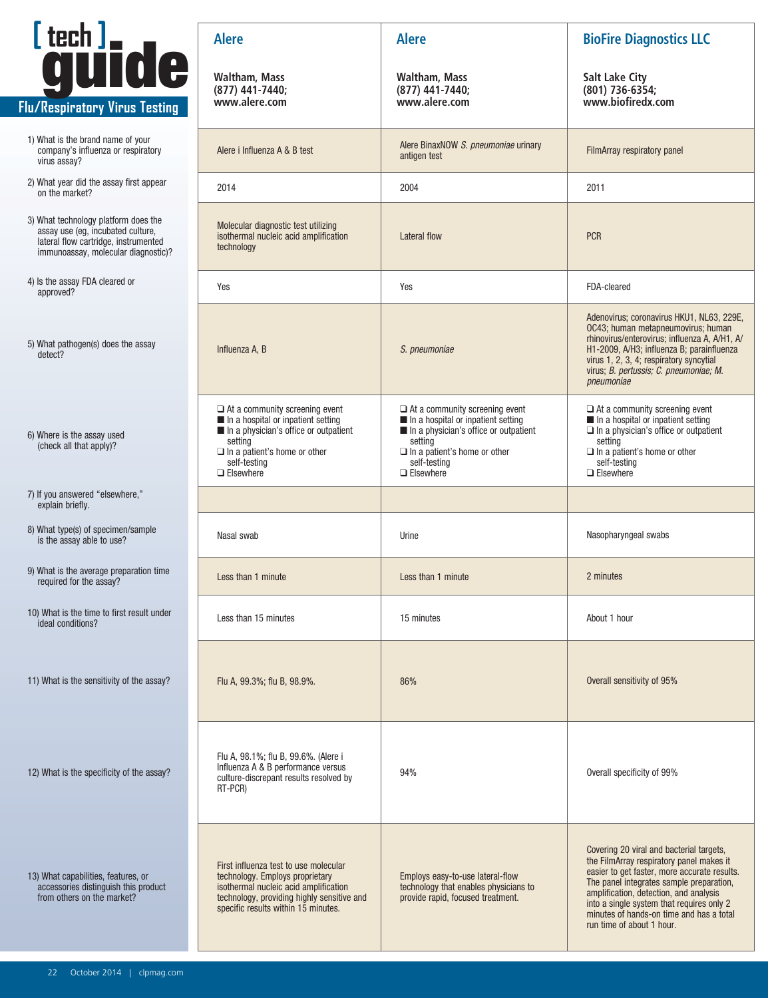

- 1) What is the brand name of your company's influenza or respiratory virus assay?
- 2) What year did the assay first appear
- 3) What technology platform does the assay use (eg, incubated culture, lateral flow cartridge, instrumented immunoassay, molecular diagnostic)?
- 4) Is the assay FDA cleared or
- 
- 6) Where is the assay used (check all that apply)?
- 7) If you answered "elsewhere," explain briefly.
- 8) What type(s) of specimen/sample is the assay able to use?
- 9) What is the average preparation time required for the assay?
- 10) What is the time to first result under
- 11) What is the sensitivity of the assay?

| Ltech J.<br><b>guide</b>                                                                                                                                 | <b>Alere</b>                                                                                                                                                                                                                 | <b>Alere</b>                                                                                                                                                                                               | <b>BioFire Diagnostics LLC</b>                                                                                                                                                                                                                                                                                                                   |
|----------------------------------------------------------------------------------------------------------------------------------------------------------|------------------------------------------------------------------------------------------------------------------------------------------------------------------------------------------------------------------------------|------------------------------------------------------------------------------------------------------------------------------------------------------------------------------------------------------------|--------------------------------------------------------------------------------------------------------------------------------------------------------------------------------------------------------------------------------------------------------------------------------------------------------------------------------------------------|
| u/Respiratory Virus Testing                                                                                                                              | <b>Waltham, Mass</b><br>(877) 441-7440;<br>www.alere.com                                                                                                                                                                     | Waltham, Mass<br>(877) 441-7440;<br>www.alere.com                                                                                                                                                          | <b>Salt Lake City</b><br>(801) 736-6354;<br>www.biofiredx.com                                                                                                                                                                                                                                                                                    |
| 1) What is the brand name of your<br>company's influenza or respiratory<br>virus assay?                                                                  | Alere i Influenza A & B test                                                                                                                                                                                                 | Alere BinaxNOW S. pneumoniae urinary<br>antigen test                                                                                                                                                       | FilmArray respiratory panel                                                                                                                                                                                                                                                                                                                      |
| 2) What year did the assay first appear<br>on the market?                                                                                                | 2014                                                                                                                                                                                                                         | 2004                                                                                                                                                                                                       | 2011                                                                                                                                                                                                                                                                                                                                             |
| 3) What technology platform does the<br>assay use (eg, incubated culture,<br>lateral flow cartridge, instrumented<br>immunoassay, molecular diagnostic)? | Molecular diagnostic test utilizing<br>isothermal nucleic acid amplification<br>technology                                                                                                                                   | <b>Lateral flow</b>                                                                                                                                                                                        | <b>PCR</b>                                                                                                                                                                                                                                                                                                                                       |
| 4) Is the assay FDA cleared or<br>approved?                                                                                                              | Yes                                                                                                                                                                                                                          | Yes                                                                                                                                                                                                        | FDA-cleared                                                                                                                                                                                                                                                                                                                                      |
| 5) What pathogen(s) does the assay<br>detect?                                                                                                            | Influenza A, B                                                                                                                                                                                                               | S. pneumoniae                                                                                                                                                                                              | Adenovirus; coronavirus HKU1, NL63, 229E,<br>OC43; human metapneumovirus; human<br>rhinovirus/enterovirus; influenza A, A/H1, A/<br>H1-2009, A/H3; influenza B; parainfluenza<br>virus 1, 2, 3, 4; respiratory syncytial<br>virus; B. pertussis; C. pneumoniae; M.<br>pneumoniae                                                                 |
| 6) Where is the assay used<br>(check all that apply)?                                                                                                    | $\Box$ At a community screening event<br>$\blacksquare$ In a hospital or inpatient setting<br>In a physician's office or outpatient<br>setting<br>$\Box$ In a patient's home or other<br>self-testing<br>$\square$ Elsewhere | $\Box$ At a community screening event<br>In a hospital or inpatient setting<br>In a physician's office or outpatient<br>setting<br>$\Box$ In a patient's home or other<br>self-testing<br>$\Box$ Elsewhere | $\Box$ At a community screening event<br>In a hospital or inpatient setting<br>$\Box$ In a physician's office or outpatient<br>setting<br>$\Box$ In a patient's home or other<br>self-testing<br>$\Box$ Elsewhere                                                                                                                                |
| 7) If you answered "elsewhere,"<br>explain briefly.                                                                                                      |                                                                                                                                                                                                                              |                                                                                                                                                                                                            |                                                                                                                                                                                                                                                                                                                                                  |
| 8) What type(s) of specimen/sample<br>is the assay able to use?                                                                                          | Nasal swab                                                                                                                                                                                                                   | Urine                                                                                                                                                                                                      | Nasopharyngeal swabs                                                                                                                                                                                                                                                                                                                             |
| 9) What is the average preparation time<br>required for the assay?                                                                                       | Less than 1 minute                                                                                                                                                                                                           | Less than 1 minute                                                                                                                                                                                         | 2 minutes                                                                                                                                                                                                                                                                                                                                        |
| 10) What is the time to first result under<br>ideal conditions?                                                                                          | Less than 15 minutes                                                                                                                                                                                                         | 15 minutes                                                                                                                                                                                                 | About 1 hour                                                                                                                                                                                                                                                                                                                                     |
| 11) What is the sensitivity of the assay?                                                                                                                | Flu A, 99.3%; flu B, 98.9%.                                                                                                                                                                                                  | 86%                                                                                                                                                                                                        | Overall sensitivity of 95%                                                                                                                                                                                                                                                                                                                       |
| 12) What is the specificity of the assay?                                                                                                                | Flu A, 98.1%; flu B, 99.6%. (Alere i<br>Influenza A & B performance versus<br>culture-discrepant results resolved by<br>RT-PCR)                                                                                              | 94%                                                                                                                                                                                                        | Overall specificity of 99%                                                                                                                                                                                                                                                                                                                       |
| 13) What capabilities, features, or<br>accessories distinguish this product<br>from others on the market?                                                | First influenza test to use molecular<br>technology. Employs proprietary<br>isothermal nucleic acid amplification<br>technology, providing highly sensitive and<br>specific results within 15 minutes.                       | Employs easy-to-use lateral-flow<br>technology that enables physicians to<br>provide rapid, focused treatment.                                                                                             | Covering 20 viral and bacterial targets,<br>the FilmArray respiratory panel makes it<br>easier to get faster, more accurate results.<br>The panel integrates sample preparation,<br>amplification, detection, and analysis<br>into a single system that requires only 2<br>minutes of hands-on time and has a total<br>run time of about 1 hour. |
|                                                                                                                                                          |                                                                                                                                                                                                                              |                                                                                                                                                                                                            |                                                                                                                                                                                                                                                                                                                                                  |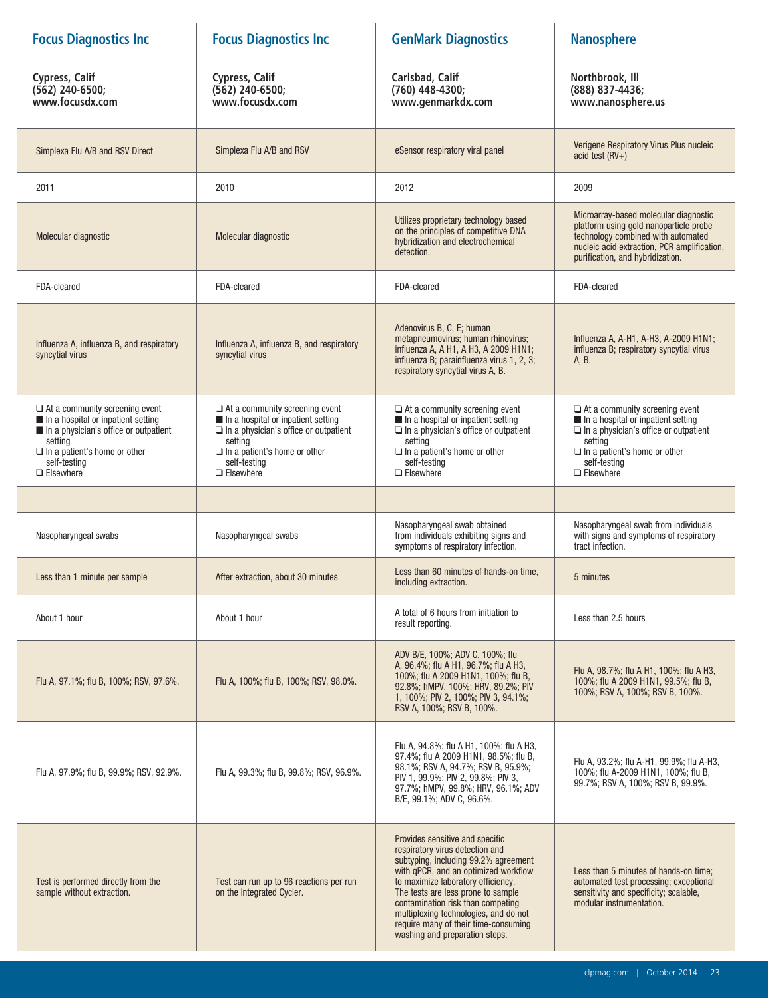| <b>Focus Diagnostics Inc</b>                                                                                                                                                                                              | <b>Focus Diagnostics Inc</b>                                                                                                                                                                                      | <b>GenMark Diagnostics</b>                                                                                                                                                                                                                                                                                                                                                             | <b>Nanosphere</b>                                                                                                                                                                                                 |
|---------------------------------------------------------------------------------------------------------------------------------------------------------------------------------------------------------------------------|-------------------------------------------------------------------------------------------------------------------------------------------------------------------------------------------------------------------|----------------------------------------------------------------------------------------------------------------------------------------------------------------------------------------------------------------------------------------------------------------------------------------------------------------------------------------------------------------------------------------|-------------------------------------------------------------------------------------------------------------------------------------------------------------------------------------------------------------------|
| Cypress, Calif<br>$(562)$ 240-6500;<br>www.focusdx.com                                                                                                                                                                    | <b>Cypress, Calif</b><br>$(562)$ 240-6500;<br>www.focusdx.com                                                                                                                                                     | Carlsbad, Calif<br>(760) 448-4300;<br>www.genmarkdx.com                                                                                                                                                                                                                                                                                                                                | Northbrook, Ill<br>(888) 837-4436;<br>www.nanosphere.us                                                                                                                                                           |
| Simplexa Flu A/B and RSV Direct                                                                                                                                                                                           | Simplexa Flu A/B and RSV                                                                                                                                                                                          | eSensor respiratory viral panel                                                                                                                                                                                                                                                                                                                                                        | Verigene Respiratory Virus Plus nucleic<br>acid test $(RV+)$                                                                                                                                                      |
| 2011                                                                                                                                                                                                                      | 2010                                                                                                                                                                                                              | 2012                                                                                                                                                                                                                                                                                                                                                                                   | 2009                                                                                                                                                                                                              |
| Molecular diagnostic                                                                                                                                                                                                      | Molecular diagnostic                                                                                                                                                                                              | Utilizes proprietary technology based<br>on the principles of competitive DNA<br>hybridization and electrochemical<br>detection.                                                                                                                                                                                                                                                       | Microarray-based molecular diagnostic<br>platform using gold nanoparticle probe<br>technology combined with automated<br>nucleic acid extraction, PCR amplification,<br>purification, and hybridization.          |
| FDA-cleared                                                                                                                                                                                                               | FDA-cleared                                                                                                                                                                                                       | FDA-cleared                                                                                                                                                                                                                                                                                                                                                                            | FDA-cleared                                                                                                                                                                                                       |
| Influenza A, influenza B, and respiratory<br>syncytial virus                                                                                                                                                              | Influenza A, influenza B, and respiratory<br>syncytial virus                                                                                                                                                      | Adenovirus B, C, E; human<br>metapneumovirus; human rhinovirus;<br>influenza A, A H1, A H3, A 2009 H1N1;<br>influenza B; parainfluenza virus 1, 2, 3;<br>respiratory syncytial virus A, B.                                                                                                                                                                                             | Influenza A, A-H1, A-H3, A-2009 H1N1;<br>influenza B; respiratory syncytial virus<br>A, B.                                                                                                                        |
| $\Box$ At a community screening event<br>$\blacksquare$ In a hospital or inpatient setting<br>In a physician's office or outpatient<br>setting<br>$\Box$ In a patient's home or other<br>self-testing<br>$\Box$ Elsewhere | $\Box$ At a community screening event<br>In a hospital or inpatient setting<br>$\Box$ In a physician's office or outpatient<br>setting<br>$\Box$ In a patient's home or other<br>self-testing<br>$\Box$ Elsewhere | $\Box$ At a community screening event<br>In a hospital or inpatient setting<br>$\square$ In a physician's office or outpatient<br>setting<br>$\Box$ In a patient's home or other<br>self-testing<br>$\Box$ Elsewhere                                                                                                                                                                   | $\Box$ At a community screening event<br>In a hospital or inpatient setting<br>$\Box$ In a physician's office or outpatient<br>setting<br>$\Box$ In a patient's home or other<br>self-testing<br>$\Box$ Elsewhere |
|                                                                                                                                                                                                                           |                                                                                                                                                                                                                   |                                                                                                                                                                                                                                                                                                                                                                                        |                                                                                                                                                                                                                   |
| Nasopharyngeal swabs                                                                                                                                                                                                      | Nasopharyngeal swabs                                                                                                                                                                                              | Nasopharyngeal swab obtained<br>from individuals exhibiting signs and<br>symptoms of respiratory infection.                                                                                                                                                                                                                                                                            | Nasopharyngeal swab from individuals<br>with signs and symptoms of respiratory<br>tract infection.                                                                                                                |
| Less than 1 minute per sample                                                                                                                                                                                             | After extraction, about 30 minutes                                                                                                                                                                                | Less than 60 minutes of hands-on time,<br>including extraction.                                                                                                                                                                                                                                                                                                                        | 5 minutes                                                                                                                                                                                                         |
| About 1 hour                                                                                                                                                                                                              | About 1 hour                                                                                                                                                                                                      | A total of 6 hours from initiation to<br>result reporting.                                                                                                                                                                                                                                                                                                                             | Less than 2.5 hours                                                                                                                                                                                               |
| Flu A, 97.1%; flu B, 100%; RSV, 97.6%.                                                                                                                                                                                    | Flu A, 100%; flu B, 100%; RSV, 98.0%.                                                                                                                                                                             | ADV B/E, 100%; ADV C, 100%; flu<br>A, 96.4%; flu A H1, 96.7%; flu A H3,<br>100%; flu A 2009 H1N1, 100%; flu B,<br>92.8%; hMPV, 100%; HRV, 89.2%; PIV<br>1, 100%; PIV 2, 100%; PIV 3, 94.1%;<br>RSV A, 100%; RSV B, 100%.                                                                                                                                                               | Flu A, 98.7%; flu A H1, 100%; flu A H3,<br>100%; flu A 2009 H1N1, 99.5%; flu B,<br>100%; RSV A, 100%; RSV B, 100%.                                                                                                |
| Flu A, 97.9%; flu B, 99.9%; RSV, 92.9%.                                                                                                                                                                                   | Flu A, 99.3%; flu B, 99.8%; RSV, 96.9%.                                                                                                                                                                           | Flu A, 94.8%; flu A H1, 100%; flu A H3,<br>97.4%; flu A 2009 H1N1, 98.5%; flu B,<br>98.1%; RSV A, 94.7%; RSV B, 95.9%;<br>PIV 1, 99.9%; PIV 2, 99.8%; PIV 3,<br>97.7%; hMPV, 99.8%; HRV, 96.1%; ADV<br>B/E, 99.1%; ADV C, 96.6%.                                                                                                                                                       | Flu A, 93.2%; flu A-H1, 99.9%; flu A-H3,<br>100%; flu A-2009 H1N1, 100%; flu B,<br>99.7%; RSV A, 100%; RSV B, 99.9%.                                                                                              |
| Test is performed directly from the<br>sample without extraction.                                                                                                                                                         | Test can run up to 96 reactions per run<br>on the Integrated Cycler.                                                                                                                                              | Provides sensitive and specific<br>respiratory virus detection and<br>subtyping, including 99.2% agreement<br>with qPCR, and an optimized workflow<br>to maximize laboratory efficiency.<br>The tests are less prone to sample<br>contamination risk than competing<br>multiplexing technologies, and do not<br>require many of their time-consuming<br>washing and preparation steps. | Less than 5 minutes of hands-on time;<br>automated test processing; exceptional<br>sensitivity and specificity; scalable,<br>modular instrumentation.                                                             |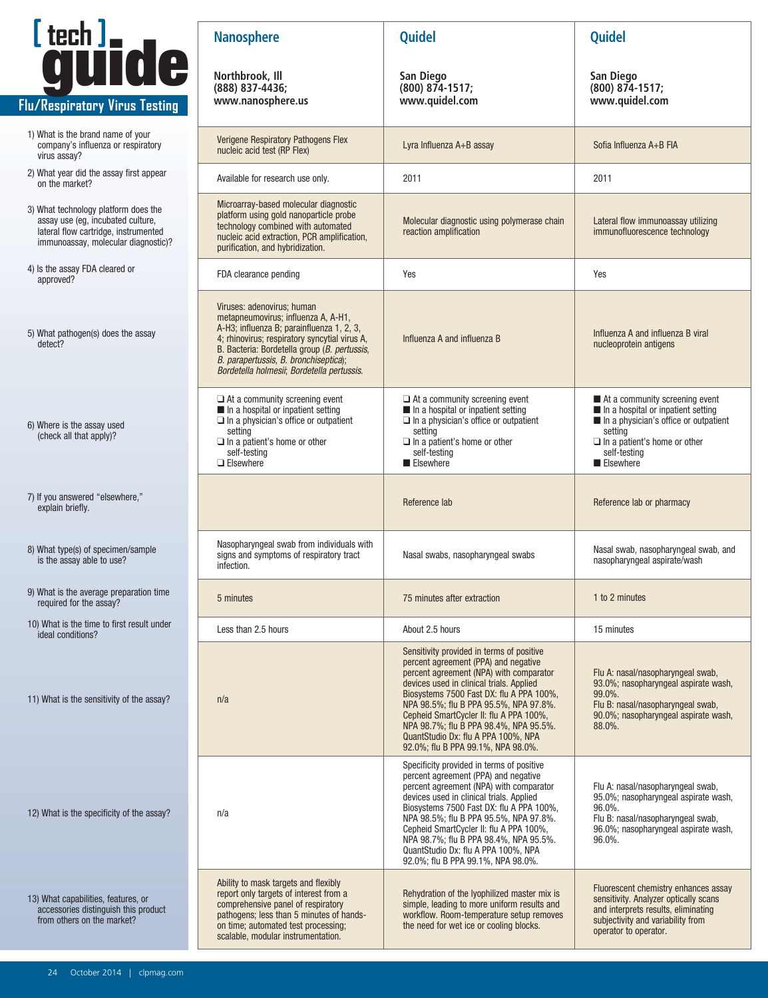

r

| 1) What is the brand name of your  |
|------------------------------------|
| company's influenza or respiratory |
| virus assay?                       |

- 2) What year did the assay first appear
- 3) What technology platform does the assay use (eg, incubated culture, lateral flow cartridge, instrumented immunoassay, molecular diagnostic)?
- 4) Is the assay FDA cleared or
- 5) What pathogen(s) does the assay detect?
- 6) Where is the assay used (check all that apply)?
- 7) If you answered "elsewhere,"
- 8) What type(s) of specimen/sample is the assay able to use?
- 9) What is the average preparation time required for the assay?
- 10) What is the time to first result under

| 12) What is the specificity of the assay? |
|-------------------------------------------|
|-------------------------------------------|

|                                                                                                                                                          | <b>Nanosphere</b>                                                                                                                                                                                                                                                                                      | <b>Quidel</b>                                                                                                                                                                                                                                                                                                                                                                                                                    | <b>Quidel</b>                                                                                                                                                                                  |
|----------------------------------------------------------------------------------------------------------------------------------------------------------|--------------------------------------------------------------------------------------------------------------------------------------------------------------------------------------------------------------------------------------------------------------------------------------------------------|----------------------------------------------------------------------------------------------------------------------------------------------------------------------------------------------------------------------------------------------------------------------------------------------------------------------------------------------------------------------------------------------------------------------------------|------------------------------------------------------------------------------------------------------------------------------------------------------------------------------------------------|
| Ltech J.<br>u/Respiratory Virus Testing                                                                                                                  | Northbrook, Ill<br>(888) 837-4436;<br>www.nanosphere.us                                                                                                                                                                                                                                                | San Diego<br>$(800)$ $874-1517$ ;<br>www.quidel.com                                                                                                                                                                                                                                                                                                                                                                              | San Diego<br>(800) 874-1517;<br>www.quidel.com                                                                                                                                                 |
| 1) What is the brand name of your<br>company's influenza or respiratory<br>virus assay?                                                                  | Verigene Respiratory Pathogens Flex<br>nucleic acid test (RP Flex)                                                                                                                                                                                                                                     | Lyra Influenza A+B assay                                                                                                                                                                                                                                                                                                                                                                                                         | Sofia Influenza A+B FIA                                                                                                                                                                        |
| 2) What year did the assay first appear<br>on the market?                                                                                                | Available for research use only.                                                                                                                                                                                                                                                                       | 2011                                                                                                                                                                                                                                                                                                                                                                                                                             | 2011                                                                                                                                                                                           |
| 3) What technology platform does the<br>assay use (eg, incubated culture,<br>lateral flow cartridge, instrumented<br>immunoassay, molecular diagnostic)? | Microarray-based molecular diagnostic<br>platform using gold nanoparticle probe<br>technology combined with automated<br>nucleic acid extraction, PCR amplification,<br>purification, and hybridization.                                                                                               | Molecular diagnostic using polymerase chain<br>reaction amplification                                                                                                                                                                                                                                                                                                                                                            | Lateral flow immunoassay utilizing<br>immunofluorescence technology                                                                                                                            |
| 4) Is the assay FDA cleared or<br>approved?                                                                                                              | FDA clearance pending                                                                                                                                                                                                                                                                                  | Yes                                                                                                                                                                                                                                                                                                                                                                                                                              | Yes                                                                                                                                                                                            |
| 5) What pathogen(s) does the assay<br>detect?                                                                                                            | Viruses: adenovirus; human<br>metapneumovirus; influenza A, A-H1,<br>A-H3; influenza B; parainfluenza 1, 2, 3,<br>4; rhinovirus; respiratory syncytial virus A,<br>B. Bacteria: Bordetella group (B. pertussis,<br>B. parapertussis, B. bronchiseptica);<br>Bordetella holmesii; Bordetella pertussis. | Influenza A and influenza B                                                                                                                                                                                                                                                                                                                                                                                                      | Influenza A and influenza B viral<br>nucleoprotein antigens                                                                                                                                    |
| 6) Where is the assay used<br>(check all that apply)?                                                                                                    | $\Box$ At a community screening event<br>$\blacksquare$ In a hospital or inpatient setting<br>$\Box$ In a physician's office or outpatient<br>setting<br>$\Box$ In a patient's home or other<br>self-testing<br>$\Box$ Elsewhere                                                                       | $\Box$ At a community screening event<br>In a hospital or inpatient setting<br>$\Box$ In a physician's office or outpatient<br>setting<br>$\Box$ In a patient's home or other<br>self-testing<br>Elsewhere                                                                                                                                                                                                                       | ■ At a community screening event<br>In a hospital or inpatient setting<br>In a physician's office or outpatient<br>setting<br>$\Box$ In a patient's home or other<br>self-testing<br>Elsewhere |
| 7) If you answered "elsewhere,"<br>explain briefly.                                                                                                      |                                                                                                                                                                                                                                                                                                        | Reference lab                                                                                                                                                                                                                                                                                                                                                                                                                    | Reference lab or pharmacy                                                                                                                                                                      |
| 8) What type(s) of specimen/sample<br>is the assay able to use?                                                                                          | Nasopharyngeal swab from individuals with<br>signs and symptoms of respiratory tract<br>infection.                                                                                                                                                                                                     | Nasal swabs, nasopharyngeal swabs                                                                                                                                                                                                                                                                                                                                                                                                | Nasal swab, nasopharyngeal swab, and<br>nasopharyngeal aspirate/wash                                                                                                                           |
| 9) What is the average preparation time<br>required for the assay?                                                                                       | 5 minutes                                                                                                                                                                                                                                                                                              | 75 minutes after extraction                                                                                                                                                                                                                                                                                                                                                                                                      | 1 to 2 minutes                                                                                                                                                                                 |
| 10) What is the time to first result under<br>ideal conditions?                                                                                          | Less than 2.5 hours                                                                                                                                                                                                                                                                                    | About 2.5 hours                                                                                                                                                                                                                                                                                                                                                                                                                  | 15 minutes                                                                                                                                                                                     |
| 11) What is the sensitivity of the assay?                                                                                                                | n/a                                                                                                                                                                                                                                                                                                    | Sensitivity provided in terms of positive<br>percent agreement (PPA) and negative<br>percent agreement (NPA) with comparator<br>devices used in clinical trials. Applied<br>Biosystems 7500 Fast DX: flu A PPA 100%,<br>NPA 98.5%; flu B PPA 95.5%, NPA 97.8%.<br>Cepheid SmartCycler II: flu A PPA 100%,<br>NPA 98.7%; flu B PPA 98.4%, NPA 95.5%.<br>QuantStudio Dx: flu A PPA 100%, NPA<br>92.0%; flu B PPA 99.1%, NPA 98.0%. | Flu A: nasal/nasopharyngeal swab,<br>93.0%; nasopharyngeal aspirate wash,<br>99.0%.<br>Flu B: nasal/nasopharyngeal swab,<br>90.0%; nasopharyngeal aspirate wash,<br>88.0%.                     |
| 12) What is the specificity of the assay?                                                                                                                | n/a                                                                                                                                                                                                                                                                                                    | Specificity provided in terms of positive<br>percent agreement (PPA) and negative<br>percent agreement (NPA) with comparator<br>devices used in clinical trials. Applied<br>Biosystems 7500 Fast DX: flu A PPA 100%,<br>NPA 98.5%; flu B PPA 95.5%, NPA 97.8%.<br>Cepheid SmartCycler II: flu A PPA 100%,<br>NPA 98.7%; flu B PPA 98.4%, NPA 95.5%.<br>QuantStudio Dx: flu A PPA 100%, NPA<br>92.0%; flu B PPA 99.1%, NPA 98.0%. | Flu A: nasal/nasopharyngeal swab,<br>95.0%; nasopharyngeal aspirate wash,<br>96.0%.<br>Flu B: nasal/nasopharyngeal swab,<br>96.0%; nasopharyngeal aspirate wash,<br>96.0%.                     |
| 13) What capabilities, features, or<br>accessories distinguish this product<br>from others on the market?                                                | Ability to mask targets and flexibly<br>report only targets of interest from a<br>comprehensive panel of respiratory<br>pathogens; less than 5 minutes of hands-<br>on time; automated test processing;<br>scalable, modular instrumentation.                                                          | Rehydration of the lyophilized master mix is<br>simple, leading to more uniform results and<br>workflow. Room-temperature setup removes<br>the need for wet ice or cooling blocks.                                                                                                                                                                                                                                               | Fluorescent chemistry enhances assay<br>sensitivity. Analyzer optically scans<br>and interprets results, eliminating<br>subjectivity and variability from<br>operator to operator.             |